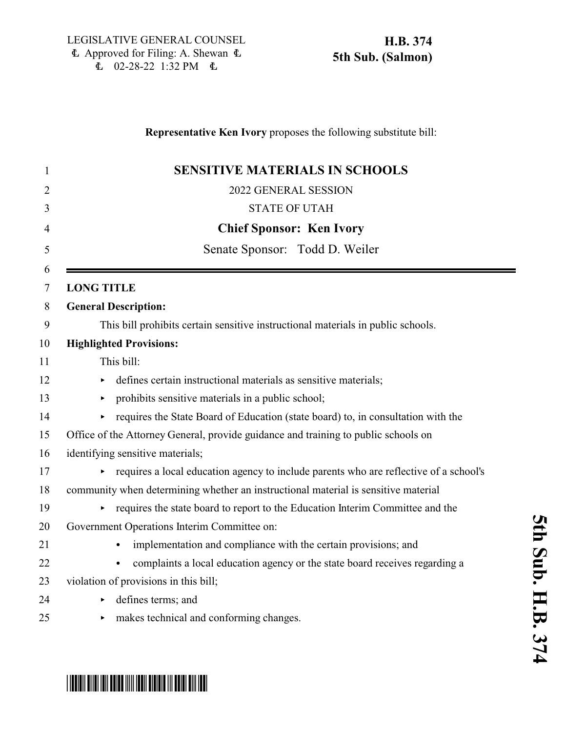<u>\* HB0374 SO5 AND AND SOS AND AN AND AN ISL</u>

# **Representative Ken Ivory** proposes the following substitute bill: 1 **SENSITIVE MATERIALS IN SCHOOLS** 2 2022 GENERAL SESSION 3 STATE OF UTAH 4 **Chief Sponsor: Ken Ivory** 5 Senate Sponsor: Todd D. Weiler 6 7 **LONG TITLE** 8 **General Description:** 9 This bill prohibits certain sensitive instructional materials in public schools. 10 **Highlighted Provisions:** 11 This bill: 12 effines certain instructional materials as sensitive materials; 13 prohibits sensitive materials in a public school; 14 requires the State Board of Education (state board) to, in consultation with the 15 Office of the Attorney General, provide guidance and training to public schools on 16 identifying sensitive materials; 17 equires a local education agency to include parents who are reflective of a school's 18 community when determining whether an instructional material is sensitive material 19 requires the state board to report to the Education Interim Committee and the 20 Government Operations Interim Committee on: 21 • implementation and compliance with the certain provisions; and <sup>22</sup> complaints a local education agency or the state board receives regarding a 23 violation of provisions in this bill; 24 b defines terms; and 25 • makes technical and conforming changes.

**5 t h S u b. H.B.** <u>م</u> **7 4**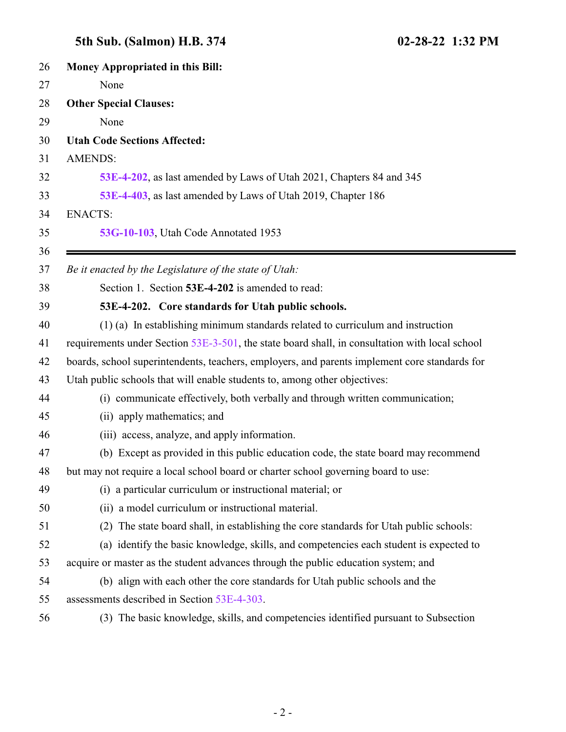# **5th Sub. (Salmon) H.B. 374 02-28-22 1:32 PM**

<span id="page-1-0"></span>

| 26 | <b>Money Appropriated in this Bill:</b>                                                        |
|----|------------------------------------------------------------------------------------------------|
| 27 | None                                                                                           |
| 28 | <b>Other Special Clauses:</b>                                                                  |
| 29 | None                                                                                           |
| 30 | <b>Utah Code Sections Affected:</b>                                                            |
| 31 | <b>AMENDS:</b>                                                                                 |
| 32 | 53E-4-202, as last amended by Laws of Utah 2021, Chapters 84 and 345                           |
| 33 | 53E-4-403, as last amended by Laws of Utah 2019, Chapter 186                                   |
| 34 | <b>ENACTS:</b>                                                                                 |
| 35 | 53G-10-103, Utah Code Annotated 1953                                                           |
| 36 |                                                                                                |
| 37 | Be it enacted by the Legislature of the state of Utah:                                         |
| 38 | Section 1. Section 53E-4-202 is amended to read:                                               |
| 39 | 53E-4-202. Core standards for Utah public schools.                                             |
| 40 | (1) (a) In establishing minimum standards related to curriculum and instruction                |
| 41 | requirements under Section 53E-3-501, the state board shall, in consultation with local school |
| 42 | boards, school superintendents, teachers, employers, and parents implement core standards for  |
| 43 | Utah public schools that will enable students to, among other objectives:                      |
| 44 | (i) communicate effectively, both verbally and through written communication;                  |
| 45 | (ii) apply mathematics; and                                                                    |
| 46 | (iii) access, analyze, and apply information.                                                  |
| 47 | (b) Except as provided in this public education code, the state board may recommend            |
| 48 | but may not require a local school board or charter school governing board to use:             |
| 49 | (i) a particular curriculum or instructional material; or                                      |
| 50 | (ii) a model curriculum or instructional material.                                             |
| 51 | (2) The state board shall, in establishing the core standards for Utah public schools:         |
| 52 | (a) identify the basic knowledge, skills, and competencies each student is expected to         |
| 53 | acquire or master as the student advances through the public education system; and             |
| 54 | (b) align with each other the core standards for Utah public schools and the                   |
| 55 | assessments described in Section 53E-4-303.                                                    |
| 56 | (3) The basic knowledge, skills, and competencies identified pursuant to Subsection            |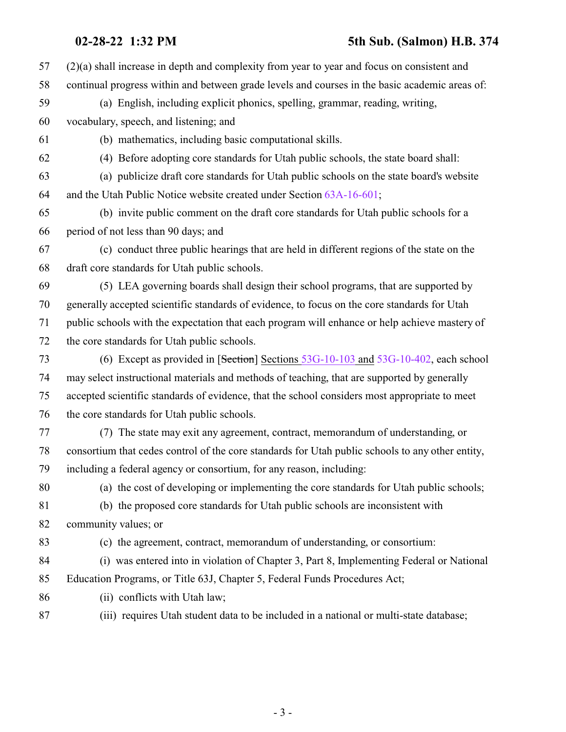### **02-28-22 1:32 PM 5th Sub. (Salmon) H.B. 374**

| 57 | $(2)(a)$ shall increase in depth and complexity from year to year and focus on consistent and    |
|----|--------------------------------------------------------------------------------------------------|
| 58 | continual progress within and between grade levels and courses in the basic academic areas of:   |
| 59 | (a) English, including explicit phonics, spelling, grammar, reading, writing,                    |
| 60 | vocabulary, speech, and listening; and                                                           |
| 61 | (b) mathematics, including basic computational skills.                                           |
| 62 | (4) Before adopting core standards for Utah public schools, the state board shall:               |
| 63 | (a) publicize draft core standards for Utah public schools on the state board's website          |
| 64 | and the Utah Public Notice website created under Section 63A-16-601;                             |
| 65 | (b) invite public comment on the draft core standards for Utah public schools for a              |
| 66 | period of not less than 90 days; and                                                             |
| 67 | (c) conduct three public hearings that are held in different regions of the state on the         |
| 68 | draft core standards for Utah public schools.                                                    |
| 69 | (5) LEA governing boards shall design their school programs, that are supported by               |
| 70 | generally accepted scientific standards of evidence, to focus on the core standards for Utah     |
| 71 | public schools with the expectation that each program will enhance or help achieve mastery of    |
| 72 | the core standards for Utah public schools.                                                      |
| 73 | (6) Except as provided in [Section] Sections 53G-10-103 and 53G-10-402, each school              |
| 74 | may select instructional materials and methods of teaching, that are supported by generally      |
| 75 | accepted scientific standards of evidence, that the school considers most appropriate to meet    |
| 76 | the core standards for Utah public schools.                                                      |
| 77 | (7) The state may exit any agreement, contract, memorandum of understanding, or                  |
| 78 | consortium that cedes control of the core standards for Utah public schools to any other entity, |
| 79 | including a federal agency or consortium, for any reason, including:                             |
| 80 | (a) the cost of developing or implementing the core standards for Utah public schools;           |
| 81 | (b) the proposed core standards for Utah public schools are inconsistent with                    |
| 82 | community values; or                                                                             |
| 83 | (c) the agreement, contract, memorandum of understanding, or consortium:                         |
| 84 | (i) was entered into in violation of Chapter 3, Part 8, Implementing Federal or National         |
| 85 | Education Programs, or Title 63J, Chapter 5, Federal Funds Procedures Act;                       |
| 86 | (ii) conflicts with Utah law;                                                                    |
| 87 | (iii) requires Utah student data to be included in a national or multi-state database;           |
|    |                                                                                                  |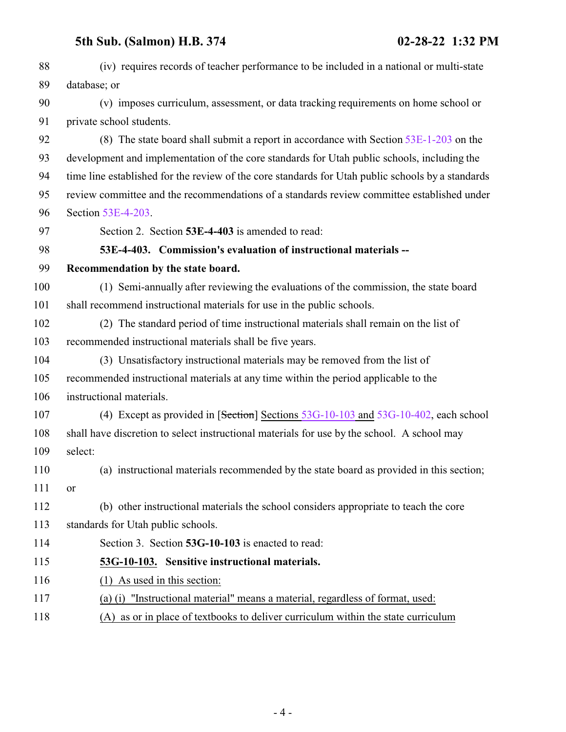### <span id="page-3-0"></span>**5th Sub. (Salmon) H.B. 374 02-28-22 1:32 PM**

| 88  | (iv) requires records of teacher performance to be included in a national or multi-state          |
|-----|---------------------------------------------------------------------------------------------------|
| 89  | database; or                                                                                      |
| 90  | (v) imposes curriculum, assessment, or data tracking requirements on home school or               |
| 91  | private school students.                                                                          |
| 92  | (8) The state board shall submit a report in accordance with Section $53E-1-203$ on the           |
| 93  | development and implementation of the core standards for Utah public schools, including the       |
| 94  | time line established for the review of the core standards for Utah public schools by a standards |
| 95  | review committee and the recommendations of a standards review committee established under        |
| 96  | Section 53E-4-203.                                                                                |
| 97  | Section 2. Section 53E-4-403 is amended to read:                                                  |
| 98  | 53E-4-403. Commission's evaluation of instructional materials --                                  |
| 99  | Recommendation by the state board.                                                                |
| 100 | (1) Semi-annually after reviewing the evaluations of the commission, the state board              |
| 101 | shall recommend instructional materials for use in the public schools.                            |
| 102 | (2) The standard period of time instructional materials shall remain on the list of               |
| 103 | recommended instructional materials shall be five years.                                          |
| 104 | (3) Unsatisfactory instructional materials may be removed from the list of                        |
| 105 | recommended instructional materials at any time within the period applicable to the               |
| 106 | instructional materials.                                                                          |
| 107 | (4) Except as provided in [Section] Sections 53G-10-103 and 53G-10-402, each school               |
| 108 | shall have discretion to select instructional materials for use by the school. A school may       |
| 109 | select:                                                                                           |
| 110 | (a) instructional materials recommended by the state board as provided in this section;           |
| 111 | 0r                                                                                                |
| 112 | (b) other instructional materials the school considers appropriate to teach the core              |
| 113 | standards for Utah public schools.                                                                |
| 114 | Section 3. Section 53G-10-103 is enacted to read:                                                 |
| 115 | 53G-10-103. Sensitive instructional materials.                                                    |
| 116 | $(1)$ As used in this section:                                                                    |
| 117 | (a) (i) "Instructional material" means a material, regardless of format, used:                    |
|     |                                                                                                   |

<span id="page-3-1"></span>(A) as or in place of textbooks to deliver curriculum within the state curriculum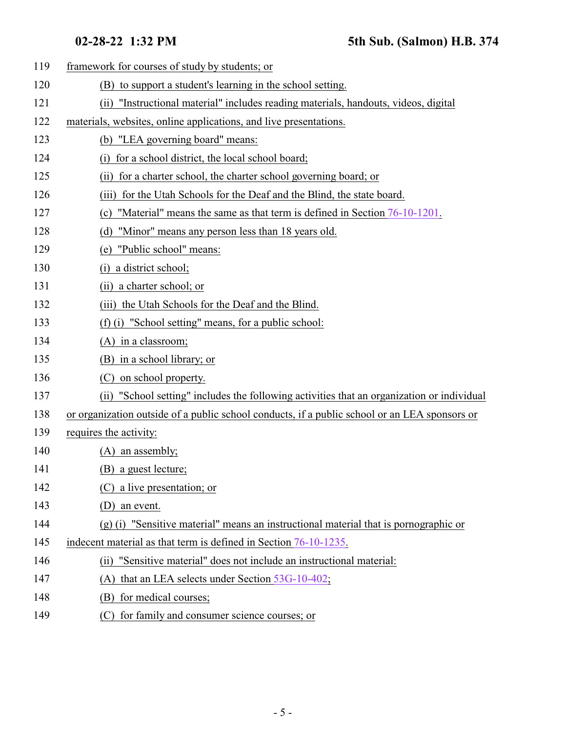| 119 | framework for courses of study by students; or                                                |
|-----|-----------------------------------------------------------------------------------------------|
| 120 | (B) to support a student's learning in the school setting.                                    |
| 121 | "Instructional material" includes reading materials, handouts, videos, digital<br>(ii)        |
| 122 | materials, websites, online applications, and live presentations.                             |
| 123 | (b) "LEA governing board" means:                                                              |
| 124 | for a school district, the local school board;<br>$\left( i\right)$                           |
| 125 | for a charter school, the charter school governing board; or<br>(i)                           |
| 126 | for the Utah Schools for the Deaf and the Blind, the state board.<br>(iii)                    |
| 127 | "Material" means the same as that term is defined in Section 76-10-1201.<br>(c)               |
| 128 | "Minor" means any person less than 18 years old.<br>(d)                                       |
| 129 | "Public school" means:<br>(e)                                                                 |
| 130 | a district school;<br>$\left( i\right)$                                                       |
| 131 | a charter school; or<br>(i)                                                                   |
| 132 | (iii) the Utah Schools for the Deaf and the Blind.                                            |
| 133 | (f) (i) "School setting" means, for a public school:                                          |
| 134 | $(A)$ in a classroom;                                                                         |
| 135 | (B) in a school library; or                                                                   |
| 136 | on school property.<br>(C)                                                                    |
| 137 | (ii) "School setting" includes the following activities that an organization or individual    |
| 138 | or organization outside of a public school conducts, if a public school or an LEA sponsors or |
| 139 | requires the activity:                                                                        |
| 140 | $(A)$ an assembly;                                                                            |
| 141 | (B) a guest lecture;                                                                          |
| 142 | (C) a live presentation; or                                                                   |
| 143 | an event.<br>(D)                                                                              |
| 144 | $(g)$ (i) "Sensitive material" means an instructional material that is pornographic or        |
| 145 | indecent material as that term is defined in Section 76-10-1235.                              |
| 146 | "Sensitive material" does not include an instructional material:<br>(ii)                      |
| 147 | that an LEA selects under Section 53G-10-402;<br>(A)                                          |
| 148 | for medical courses;<br>(B)                                                                   |
| 149 | for family and consumer science courses; or<br>(C)                                            |